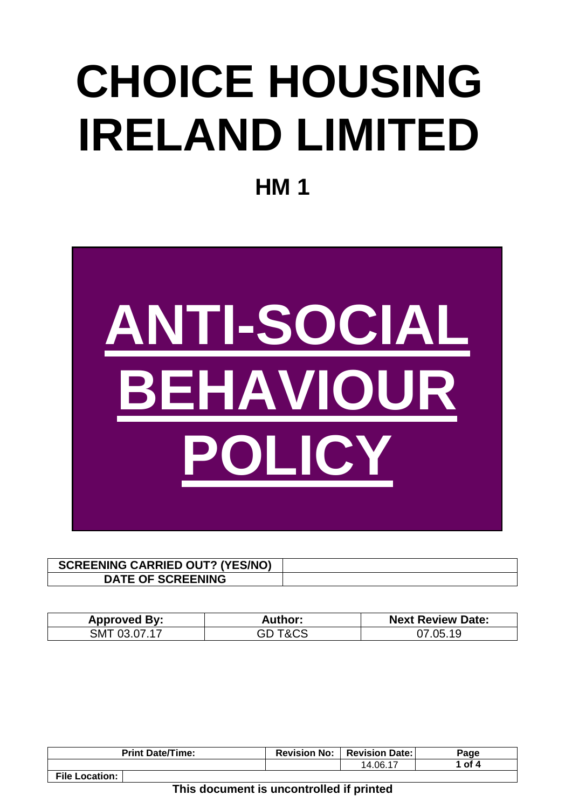# **CHOICE HOUSING IRELAND LIMITED**

**HM 1**



| <b>SCREENING CARRIED OUT? (YES/NO)</b> |  |
|----------------------------------------|--|
| <b>DATE OF SCREENING</b>               |  |

| <b>Approved By:</b> | Author: | <b>Next Review Date:</b> |
|---------------------|---------|--------------------------|
| SMT 03.07.17        | $T\&CS$ | 07.05.19                 |

| <b>Print Date/Time:</b> | <b>Revision No:</b> | <b>Revision Date:</b> I | Page   |
|-------------------------|---------------------|-------------------------|--------|
|                         |                     | 14.06.17                | 1 of 4 |
| <b>File Location:</b>   |                     |                         |        |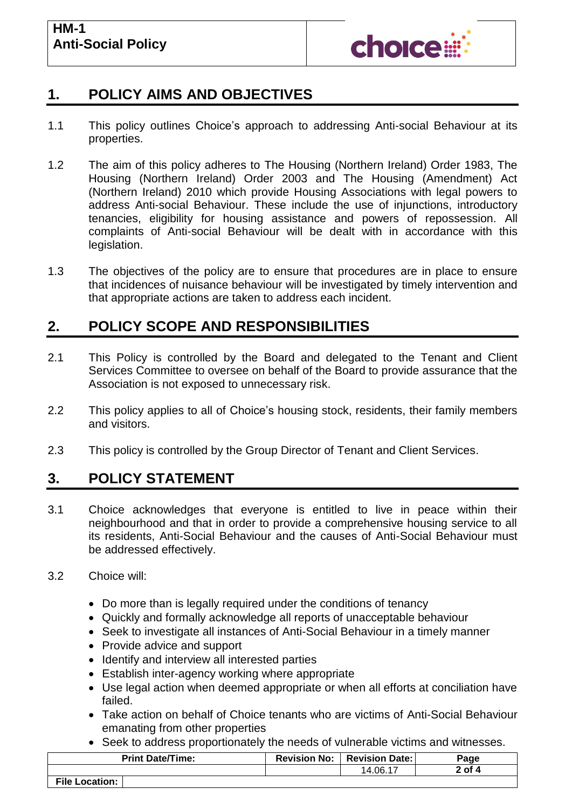

## **1. POLICY AIMS AND OBJECTIVES**

- 1.1 This policy outlines Choice's approach to addressing Anti-social Behaviour at its properties.
- 1.2 The aim of this policy adheres to The Housing (Northern Ireland) Order 1983, The Housing (Northern Ireland) Order 2003 and The Housing (Amendment) Act (Northern Ireland) 2010 which provide Housing Associations with legal powers to address Anti-social Behaviour. These include the use of injunctions, introductory tenancies, eligibility for housing assistance and powers of repossession. All complaints of Anti-social Behaviour will be dealt with in accordance with this legislation.
- 1.3 The objectives of the policy are to ensure that procedures are in place to ensure that incidences of nuisance behaviour will be investigated by timely intervention and that appropriate actions are taken to address each incident.

## **2. POLICY SCOPE AND RESPONSIBILITIES**

- 2.1 This Policy is controlled by the Board and delegated to the Tenant and Client Services Committee to oversee on behalf of the Board to provide assurance that the Association is not exposed to unnecessary risk.
- 2.2 This policy applies to all of Choice's housing stock, residents, their family members and visitors.
- 2.3 This policy is controlled by the Group Director of Tenant and Client Services.

# **3. POLICY STATEMENT**

3.1 Choice acknowledges that everyone is entitled to live in peace within their neighbourhood and that in order to provide a comprehensive housing service to all its residents, Anti-Social Behaviour and the causes of Anti-Social Behaviour must be addressed effectively.

#### 3.2 Choice will:

- Do more than is legally required under the conditions of tenancy
- Quickly and formally acknowledge all reports of unacceptable behaviour
- Seek to investigate all instances of Anti-Social Behaviour in a timely manner
- Provide advice and support
- Identify and interview all interested parties
- Establish inter-agency working where appropriate
- Use legal action when deemed appropriate or when all efforts at conciliation have failed.
- Take action on behalf of Choice tenants who are victims of Anti-Social Behaviour emanating from other properties
- Seek to address proportionately the needs of vulnerable victims and witnesses.

| <b>Print Date/Time:</b> | <b>Revision No:</b> | <b>Revision Date:</b> | Page     |
|-------------------------|---------------------|-----------------------|----------|
|                         |                     | 14.06.17              | $2$ of 4 |
| <b>File Location:</b>   |                     |                       |          |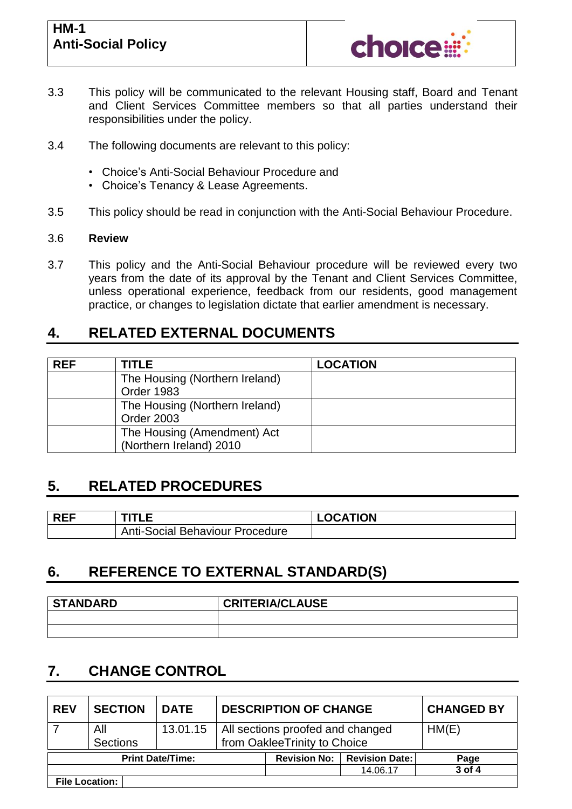### **HM-1 Anti-Social Policy**



- 3.3 This policy will be communicated to the relevant Housing staff, Board and Tenant and Client Services Committee members so that all parties understand their responsibilities under the policy.
- 3.4 The following documents are relevant to this policy:
	- Choice's Anti-Social Behaviour Procedure and
	- Choice's Tenancy & Lease Agreements.
- 3.5 This policy should be read in conjunction with the Anti-Social Behaviour Procedure.

#### 3.6 **Review**

3.7 This policy and the Anti-Social Behaviour procedure will be reviewed every two years from the date of its approval by the Tenant and Client Services Committee, unless operational experience, feedback from our residents, good management practice, or changes to legislation dictate that earlier amendment is necessary.

## **4. RELATED EXTERNAL DOCUMENTS**

| <b>REF</b> | <b>TITLE</b>                                           | <b>LOCATION</b> |  |
|------------|--------------------------------------------------------|-----------------|--|
|            | The Housing (Northern Ireland)<br>Order 1983           |                 |  |
|            | The Housing (Northern Ireland)<br><b>Order 2003</b>    |                 |  |
|            | The Housing (Amendment) Act<br>(Northern Ireland) 2010 |                 |  |

## **5. RELATED PROCEDURES**

| <b>RFF</b> |                                        | <b>LOCATION</b> |
|------------|----------------------------------------|-----------------|
|            | <b>Anti-Social Behaviour Procedure</b> |                 |

# **6. REFERENCE TO EXTERNAL STANDARD(S)**

| <b>STANDARD</b> | <b>CRITERIA/CLAUSE</b> |
|-----------------|------------------------|
|                 |                        |
|                 |                        |

# **7. CHANGE CONTROL**

| <b>REV</b>              | <b>SECTION</b>         | <b>DATE</b>         | <b>DESCRIPTION OF CHANGE</b> |                                                                  |          | <b>CHANGED BY</b> |
|-------------------------|------------------------|---------------------|------------------------------|------------------------------------------------------------------|----------|-------------------|
|                         | All<br><b>Sections</b> | 13.01.15            |                              | All sections proofed and changed<br>from OakleeTrinity to Choice | HM(E)    |                   |
| <b>Print Date/Time:</b> |                        | <b>Revision No:</b> | <b>Revision Date:</b>        | Page                                                             |          |                   |
|                         |                        |                     |                              |                                                                  | 14.06.17 | 3 of 4            |
|                         | <b>File Location:</b>  |                     |                              |                                                                  |          |                   |